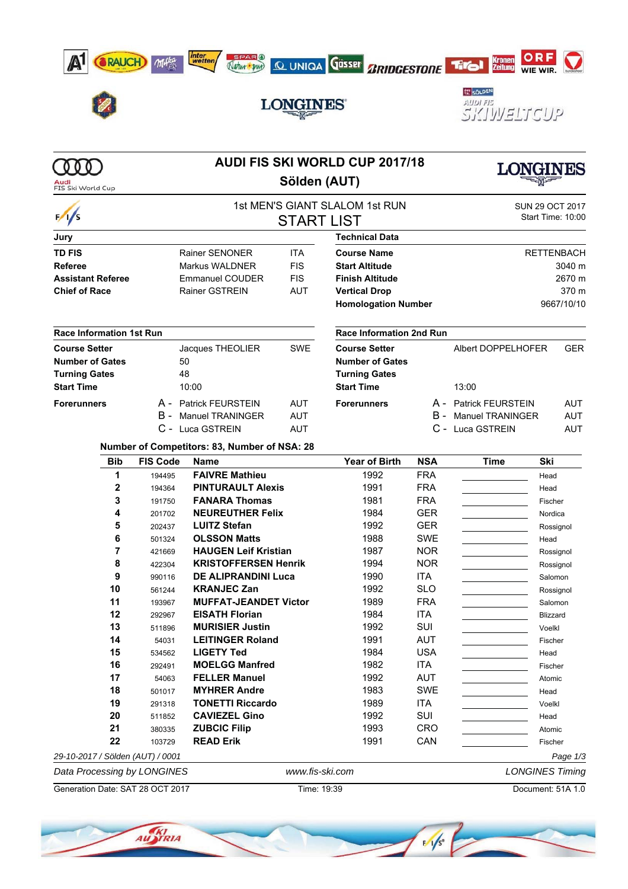









# **LONGINES**



|                                  |                                                    | <b>AUDI FIS SKI WORLD CUP 2017/18</b>        |                                |                                 |                  |                             |                        |  |  |
|----------------------------------|----------------------------------------------------|----------------------------------------------|--------------------------------|---------------------------------|------------------|-----------------------------|------------------------|--|--|
| FIS Ski World Cup                | Sölden (AUT)                                       |                                              |                                |                                 |                  |                             |                        |  |  |
| $\frac{1}{s}$                    |                                                    |                                              | 1st MEN'S GIANT SLALOM 1st RUN |                                 |                  |                             | SUN 29 OCT 2017        |  |  |
|                                  |                                                    |                                              | <b>START LIST</b>              |                                 |                  | Start Time: 10:00           |                        |  |  |
| Jury                             |                                                    |                                              |                                | <b>Technical Data</b>           |                  |                             |                        |  |  |
| <b>TD FIS</b>                    |                                                    | <b>Rainer SENONER</b>                        | <b>Course Name</b>             |                                 |                  | <b>RETTENBACH</b>           |                        |  |  |
| <b>Referee</b>                   |                                                    | Markus WALDNER                               |                                | <b>Start Altitude</b>           |                  |                             |                        |  |  |
| <b>Assistant Referee</b>         | <b>FIS</b><br><b>FIS</b><br><b>Emmanuel COUDER</b> |                                              | <b>Finish Altitude</b>         |                                 | 3040 m<br>2670 m |                             |                        |  |  |
| <b>Chief of Race</b>             |                                                    | <b>Rainer GSTREIN</b><br><b>AUT</b>          |                                | <b>Vertical Drop</b>            |                  | 370 m                       |                        |  |  |
|                                  |                                                    |                                              |                                | <b>Homologation Number</b>      |                  | 9667/10/10                  |                        |  |  |
| <b>Race Information 1st Run</b>  |                                                    |                                              |                                | <b>Race Information 2nd Run</b> |                  |                             |                        |  |  |
| <b>Course Setter</b>             |                                                    | Jacques THEOLIER                             | <b>SWE</b>                     | <b>Course Setter</b>            |                  | Albert DOPPELHOFER          | <b>GER</b>             |  |  |
| <b>Number of Gates</b>           |                                                    | 50                                           |                                | <b>Number of Gates</b>          |                  |                             |                        |  |  |
| <b>Turning Gates</b>             |                                                    | 48                                           |                                | <b>Turning Gates</b>            |                  |                             |                        |  |  |
| <b>Start Time</b>                |                                                    | 10:00                                        |                                | <b>Start Time</b>               |                  | 13:00                       |                        |  |  |
| <b>Forerunners</b>               |                                                    | A - Patrick FEURSTEIN                        | <b>AUT</b>                     | <b>Forerunners</b>              |                  | A - Patrick FEURSTEIN       | AUT                    |  |  |
|                                  |                                                    | <b>B</b> - Manuel TRANINGER                  | <b>AUT</b>                     |                                 |                  | <b>B</b> - Manuel TRANINGER | <b>AUT</b>             |  |  |
|                                  |                                                    | C - Luca GSTREIN                             | <b>AUT</b>                     |                                 |                  | C - Luca GSTREIN            | AUT                    |  |  |
|                                  |                                                    | Number of Competitors: 83, Number of NSA: 28 |                                |                                 |                  |                             |                        |  |  |
| <b>Bib</b>                       | <b>FIS Code</b>                                    | <b>Name</b>                                  |                                | <b>Year of Birth</b>            | <b>NSA</b>       | <b>Time</b>                 | Ski                    |  |  |
| 1                                | 194495                                             | <b>FAIVRE Mathieu</b>                        |                                | 1992                            | <b>FRA</b>       |                             | Head                   |  |  |
| $\mathbf{2}$                     | 194364                                             | <b>PINTURAULT Alexis</b>                     |                                | 1991                            | <b>FRA</b>       |                             | Head                   |  |  |
| 3                                | 191750                                             | <b>FANARA Thomas</b>                         |                                | 1981                            | <b>FRA</b>       |                             | Fischer                |  |  |
| 4                                | 201702                                             | <b>NEUREUTHER Felix</b>                      |                                | 1984                            | <b>GER</b>       |                             | Nordica                |  |  |
| 5                                | 202437                                             | <b>LUITZ Stefan</b>                          |                                | 1992                            | <b>GER</b>       |                             | Rossignol              |  |  |
| 6                                | 501324                                             | <b>OLSSON Matts</b>                          |                                | 1988                            | <b>SWE</b>       |                             | Head                   |  |  |
| 7                                | 421669                                             | <b>HAUGEN Leif Kristian</b>                  |                                | 1987                            | <b>NOR</b>       |                             | Rossignol              |  |  |
| 8                                | 422304                                             | <b>KRISTOFFERSEN Henrik</b>                  |                                | 1994                            | <b>NOR</b>       |                             | Rossignol              |  |  |
| 9                                | 990116                                             | <b>DE ALIPRANDINI Luca</b>                   |                                | 1990                            | ITA              |                             | Salomon                |  |  |
| 10                               | 561244                                             | <b>KRANJEC Zan</b>                           |                                | 1992                            | <b>SLO</b>       |                             | Rossignol              |  |  |
| 11                               | 193967                                             | <b>MUFFAT-JEANDET Victor</b>                 |                                | 1989                            | <b>FRA</b>       |                             | Salomon                |  |  |
| 12                               | 292967                                             | <b>EISATH Florian</b>                        |                                | 1984                            | <b>ITA</b>       |                             | <b>Blizzard</b>        |  |  |
| 13                               | 511896                                             | <b>MURISIER Justin</b>                       |                                | 1992                            | SUI              |                             | Voelkl                 |  |  |
| 14                               | 54031                                              | <b>LEITINGER Roland</b>                      |                                | 1991                            | <b>AUT</b>       |                             | Fischer                |  |  |
| 15                               | 534562                                             | <b>LIGETY Ted</b>                            |                                | 1984                            | <b>USA</b>       |                             | Head                   |  |  |
| 16                               | 292491                                             | <b>MOELGG Manfred</b>                        |                                | 1982                            | <b>ITA</b>       |                             | Fischer                |  |  |
| 17                               | 54063                                              | <b>FELLER Manuel</b>                         |                                | 1992                            | <b>AUT</b>       |                             | Atomic                 |  |  |
| 18                               | 501017                                             | <b>MYHRER Andre</b>                          |                                | 1983                            | SWE              |                             | Head                   |  |  |
| 19                               | 291318                                             | <b>TONETTI Riccardo</b>                      |                                | 1989                            | <b>ITA</b>       |                             | Voelkl                 |  |  |
| 20                               | 511852                                             | <b>CAVIEZEL Gino</b>                         |                                |                                 | SUI              |                             | Head                   |  |  |
| 21                               | 380335                                             | <b>ZUBCIC Filip</b>                          |                                | 1993                            | <b>CRO</b>       |                             | Atomic                 |  |  |
| 22                               | 103729                                             | <b>READ Erik</b>                             | 1991<br>CAN<br>Fischer         |                                 |                  |                             |                        |  |  |
| 29-10-2017 / Sölden (AUT) / 0001 |                                                    |                                              |                                |                                 |                  |                             | Page 1/3               |  |  |
| Data Processing by LONGINES      |                                                    |                                              | www.fis-ski.com                |                                 |                  |                             | <b>LONGINES Timing</b> |  |  |

Generation Date: SAT 28 OCT 2017 Time: 19:39 Document: 51A 1.0

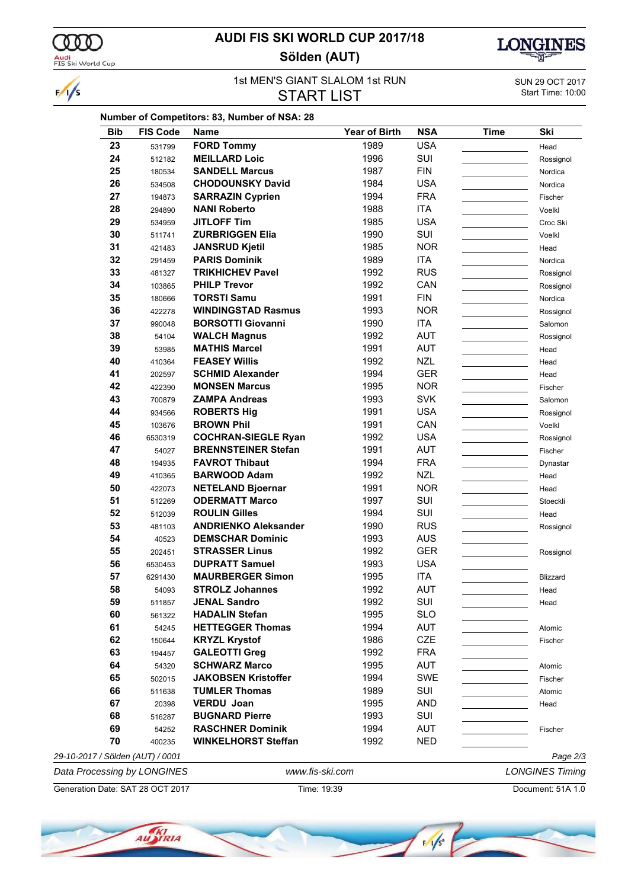

 $\frac{1}{s}$ 

### **AUDI FIS SKI WORLD CUP 2017/18 Sölden (AUT)**



### 1st MEN'S GIANT SLALOM 1st RUN<br>
Start Time: 10:00<br>
Start Time: 10:00 **START LIST**

| <b>Bib</b> | <b>FIS Code</b> | <b>Name</b>                 | <b>Year of Birth</b> | <b>NSA</b> | <b>Time</b> | Ski       |
|------------|-----------------|-----------------------------|----------------------|------------|-------------|-----------|
| 23         | 531799          | <b>FORD Tommy</b>           | 1989                 | <b>USA</b> |             | Head      |
| 24         | 512182          | <b>MEILLARD Loic</b>        | 1996                 | SUI        |             | Rossignol |
| 25         | 180534          | <b>SANDELL Marcus</b>       | 1987                 | <b>FIN</b> |             | Nordica   |
| 26         | 534508          | <b>CHODOUNSKY David</b>     | 1984                 | <b>USA</b> |             | Nordica   |
| 27         | 194873          | <b>SARRAZIN Cyprien</b>     | 1994                 | <b>FRA</b> |             | Fischer   |
| 28         | 294890          | <b>NANI Roberto</b>         | 1988                 | <b>ITA</b> |             | Voelkl    |
| 29         | 534959          | <b>JITLOFF Tim</b>          | 1985                 | <b>USA</b> |             | Croc Ski  |
| 30         | 511741          | <b>ZURBRIGGEN Elia</b>      | 1990                 | SUI        |             | Voelkl    |
| 31         | 421483          | <b>JANSRUD Kjetil</b>       | 1985                 | <b>NOR</b> |             | Head      |
| 32         | 291459          | <b>PARIS Dominik</b>        | 1989                 | <b>ITA</b> |             | Nordica   |
| 33         | 481327          | <b>TRIKHICHEV Pavel</b>     | 1992                 | <b>RUS</b> |             | Rossignol |
| 34         | 103865          | <b>PHILP Trevor</b>         | 1992                 | CAN        |             | Rossignol |
| 35         | 180666          | <b>TORSTI Samu</b>          | 1991                 | <b>FIN</b> |             | Nordica   |
| 36         | 422278          | <b>WINDINGSTAD Rasmus</b>   | 1993                 | <b>NOR</b> |             | Rossignol |
| 37         | 990048          | <b>BORSOTTI Giovanni</b>    | 1990                 | <b>ITA</b> |             | Salomon   |
| 38         | 54104           | <b>WALCH Magnus</b>         | 1992                 | <b>AUT</b> |             | Rossignol |
| 39         | 53985           | <b>MATHIS Marcel</b>        | 1991                 | <b>AUT</b> |             | Head      |
| 40         | 410364          | <b>FEASEY Willis</b>        | 1992                 | <b>NZL</b> |             | Head      |
| 41         | 202597          | <b>SCHMID Alexander</b>     | 1994                 | <b>GER</b> |             | Head      |
| 42         | 422390          | <b>MONSEN Marcus</b>        | 1995                 | <b>NOR</b> |             | Fischer   |
| 43         | 700879          | <b>ZAMPA Andreas</b>        | 1993                 | <b>SVK</b> |             | Salomon   |
| 44         | 934566          | <b>ROBERTS Hig</b>          | 1991                 | <b>USA</b> |             | Rossignol |
| 45         | 103676          | <b>BROWN Phil</b>           | 1991                 | CAN        |             | Voelkl    |
| 46         | 6530319         | <b>COCHRAN-SIEGLE Ryan</b>  | 1992                 | <b>USA</b> |             |           |
| 47         |                 | <b>BRENNSTEINER Stefan</b>  | 1991                 | <b>AUT</b> |             | Rossignol |
| 48         | 54027           | <b>FAVROT Thibaut</b>       | 1994                 | <b>FRA</b> |             | Fischer   |
| 49         | 194935          | <b>BARWOOD Adam</b>         | 1992                 | <b>NZL</b> |             | Dynastar  |
|            | 410365          |                             |                      | <b>NOR</b> |             | Head      |
| 50         | 422073          | <b>NETELAND Bjoernar</b>    | 1991                 |            |             | Head      |
| 51         | 512269          | <b>ODERMATT Marco</b>       | 1997                 | SUI        |             | Stoeckli  |
| 52         | 512039          | <b>ROULIN Gilles</b>        | 1994                 | SUI        |             | Head      |
| 53         | 481103          | <b>ANDRIENKO Aleksander</b> | 1990                 | <b>RUS</b> |             | Rossignol |
| 54         | 40523           | <b>DEMSCHAR Dominic</b>     | 1993                 | <b>AUS</b> |             |           |
| 55         | 202451          | <b>STRASSER Linus</b>       | 1992                 | <b>GER</b> |             | Rossignol |
| 56         | 6530453         | <b>DUPRATT Samuel</b>       | 1993                 | <b>USA</b> |             |           |
| 57         | 6291430         | <b>MAURBERGER Simon</b>     | 1995                 | <b>ITA</b> |             | Blizzard  |
| 58         | 54093           | <b>STROLZ Johannes</b>      | 1992                 | <b>AUT</b> |             | Head      |
| 59         | 511857          | <b>JENAL Sandro</b>         | 1992                 | SUI        |             | Head      |
| 60         | 561322          | <b>HADALIN Stefan</b>       | 1995                 | <b>SLO</b> |             |           |
| 61         | 54245           | <b>HETTEGGER Thomas</b>     | 1994                 | AUT        |             | Atomic    |
| 62         | 150644          | <b>KRYZL Krystof</b>        | 1986                 | <b>CZE</b> |             | Fischer   |
| 63         | 194457          | <b>GALEOTTI Greg</b>        | 1992                 | <b>FRA</b> |             |           |
| 64         | 54320           | <b>SCHWARZ Marco</b>        | 1995                 | <b>AUT</b> |             | Atomic    |
| 65         | 502015          | <b>JAKOBSEN Kristoffer</b>  | 1994                 | SWE        |             | Fischer   |
| 66         | 511638          | <b>TUMLER Thomas</b>        | 1989                 | SUI        |             | Atomic    |
| 67         | 20398           | <b>VERDU Joan</b>           | 1995                 | <b>AND</b> |             | Head      |
| 68         | 516287          | <b>BUGNARD Pierre</b>       | 1993                 | SUI        |             |           |
| 69         | 54252           | <b>RASCHNER Dominik</b>     | 1994                 | <b>AUT</b> |             | Fischer   |
|            | 400235          | <b>WINKELHORST Steffan</b>  | 1992                 | <b>NED</b> |             |           |
| 70         |                 |                             |                      |            |             |           |

Generation Date: SAT 28 OCT 2017 Time: 19:39 Document: 51A 1.0